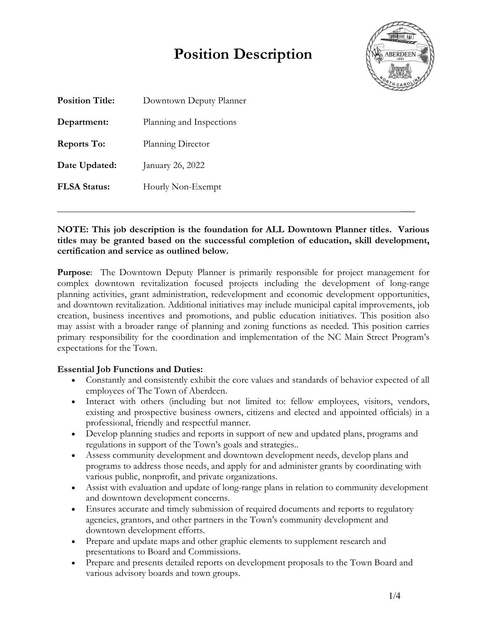# **Position Description**



 $\mathcal{L}$ 

| <b>Position Title:</b> | Downtown Deputy Planner  |  |  |  |
|------------------------|--------------------------|--|--|--|
| Department:            | Planning and Inspections |  |  |  |
| <b>Reports To:</b>     | Planning Director        |  |  |  |
| Date Updated:          | January 26, 2022         |  |  |  |
| <b>FLSA Status:</b>    | Hourly Non-Exempt        |  |  |  |
|                        |                          |  |  |  |

#### **NOTE: This job description is the foundation for ALL Downtown Planner titles. Various titles may be granted based on the successful completion of education, skill development, certification and service as outlined below.**

**Purpose**: The Downtown Deputy Planner is primarily responsible for project management for complex downtown revitalization focused projects including the development of long-range planning activities, grant administration, redevelopment and economic development opportunities, and downtown revitalization. Additional initiatives may include municipal capital improvements, job creation, business incentives and promotions, and public education initiatives. This position also may assist with a broader range of planning and zoning functions as needed. This position carries primary responsibility for the coordination and implementation of the NC Main Street Program's expectations for the Town.

#### **Essential Job Functions and Duties:**

- Constantly and consistently exhibit the core values and standards of behavior expected of all employees of The Town of Aberdeen.
- Interact with others (including but not limited to: fellow employees, visitors, vendors, existing and prospective business owners, citizens and elected and appointed officials) in a professional, friendly and respectful manner.
- Develop planning studies and reports in support of new and updated plans, programs and regulations in support of the Town's goals and strategies..
- Assess community development and downtown development needs, develop plans and programs to address those needs, and apply for and administer grants by coordinating with various public, nonprofit, and private organizations.
- Assist with evaluation and update of long-range plans in relation to community development and downtown development concerns.
- Ensures accurate and timely submission of required documents and reports to regulatory agencies, grantors, and other partners in the Town's community development and downtown development efforts.
- Prepare and update maps and other graphic elements to supplement research and presentations to Board and Commissions.
- Prepare and presents detailed reports on development proposals to the Town Board and various advisory boards and town groups.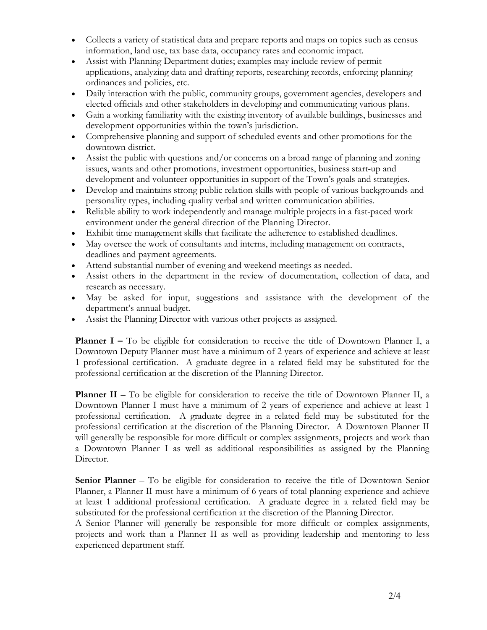- Collects a variety of statistical data and prepare reports and maps on topics such as census information, land use, tax base data, occupancy rates and economic impact.
- Assist with Planning Department duties; examples may include review of permit applications, analyzing data and drafting reports, researching records, enforcing planning ordinances and policies, etc.
- Daily interaction with the public, community groups, government agencies, developers and elected officials and other stakeholders in developing and communicating various plans.
- Gain a working familiarity with the existing inventory of available buildings, businesses and development opportunities within the town's jurisdiction.
- Comprehensive planning and support of scheduled events and other promotions for the downtown district.
- Assist the public with questions and/or concerns on a broad range of planning and zoning issues, wants and other promotions, investment opportunities, business start-up and development and volunteer opportunities in support of the Town's goals and strategies.
- Develop and maintains strong public relation skills with people of various backgrounds and personality types, including quality verbal and written communication abilities.
- Reliable ability to work independently and manage multiple projects in a fast-paced work environment under the general direction of the Planning Director.
- Exhibit time management skills that facilitate the adherence to established deadlines.
- May oversee the work of consultants and interns, including management on contracts, deadlines and payment agreements.
- Attend substantial number of evening and weekend meetings as needed.
- Assist others in the department in the review of documentation, collection of data, and research as necessary.
- May be asked for input, suggestions and assistance with the development of the department's annual budget.
- Assist the Planning Director with various other projects as assigned.

**Planner** I – To be eligible for consideration to receive the title of Downtown Planner I, a Downtown Deputy Planner must have a minimum of 2 years of experience and achieve at least 1 professional certification. A graduate degree in a related field may be substituted for the professional certification at the discretion of the Planning Director.

**Planner II** – To be eligible for consideration to receive the title of Downtown Planner II, a Downtown Planner I must have a minimum of 2 years of experience and achieve at least 1 professional certification. A graduate degree in a related field may be substituted for the professional certification at the discretion of the Planning Director. A Downtown Planner II will generally be responsible for more difficult or complex assignments, projects and work than a Downtown Planner I as well as additional responsibilities as assigned by the Planning Director.

**Senior Planner** – To be eligible for consideration to receive the title of Downtown Senior Planner, a Planner II must have a minimum of 6 years of total planning experience and achieve at least 1 additional professional certification. A graduate degree in a related field may be substituted for the professional certification at the discretion of the Planning Director.

A Senior Planner will generally be responsible for more difficult or complex assignments, projects and work than a Planner II as well as providing leadership and mentoring to less experienced department staff.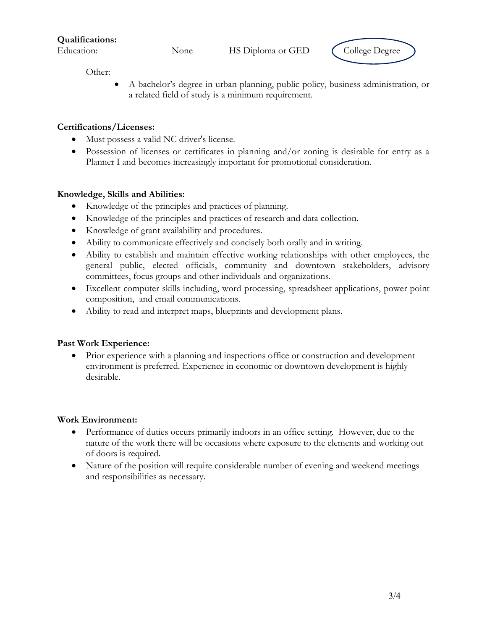**Qualifications:**



Other:

• A bachelor's degree in urban planning, public policy, business administration, or a related field of study is a minimum requirement.

#### **Certifications/Licenses:**

- Must possess a valid NC driver's license.
- Possession of licenses or certificates in planning and/or zoning is desirable for entry as a Planner I and becomes increasingly important for promotional consideration.

### **Knowledge, Skills and Abilities:**

- Knowledge of the principles and practices of planning.
- Knowledge of the principles and practices of research and data collection.
- Knowledge of grant availability and procedures.
- Ability to communicate effectively and concisely both orally and in writing.
- Ability to establish and maintain effective working relationships with other employees, the general public, elected officials, community and downtown stakeholders, advisory committees, focus groups and other individuals and organizations.
- Excellent computer skills including, word processing, spreadsheet applications, power point composition, and email communications.
- Ability to read and interpret maps, blueprints and development plans.

## **Past Work Experience:**

• Prior experience with a planning and inspections office or construction and development environment is preferred. Experience in economic or downtown development is highly desirable.

#### **Work Environment:**

- Performance of duties occurs primarily indoors in an office setting. However, due to the nature of the work there will be occasions where exposure to the elements and working out of doors is required.
- Nature of the position will require considerable number of evening and weekend meetings and responsibilities as necessary.